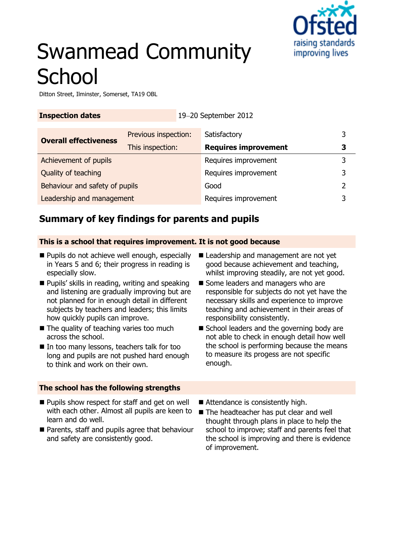

# Swanmead Community **School**

Ditton Street, Ilminster, Somerset, TA19 OBL

| <b>Inspection dates</b><br>19-20 September 2012 |                      |                             |   |
|-------------------------------------------------|----------------------|-----------------------------|---|
| <b>Overall effectiveness</b>                    | Previous inspection: | Satisfactory                | 3 |
|                                                 | This inspection:     | <b>Requires improvement</b> | 3 |
| Achievement of pupils                           |                      | Requires improvement        | 3 |
| Quality of teaching                             |                      | Requires improvement        | 3 |
| Behaviour and safety of pupils                  |                      | Good                        |   |
| Leadership and management                       |                      | Requires improvement        |   |

# **Summary of key findings for parents and pupils**

#### **This is a school that requires improvement. It is not good because**

- Pupils do not achieve well enough, especially in Years 5 and 6; their progress in reading is especially slow.
- **Pupils' skills in reading, writing and speaking** and listening are gradually improving but are not planned for in enough detail in different subjects by teachers and leaders; this limits how quickly pupils can improve.
- The quality of teaching varies too much across the school.
- In too many lessons, teachers talk for too long and pupils are not pushed hard enough to think and work on their own.

### **The school has the following strengths**

- Leadership and management are not yet good because achievement and teaching, whilst improving steadily, are not yet good.
- Some leaders and managers who are responsible for subjects do not yet have the necessary skills and experience to improve teaching and achievement in their areas of responsibility consistently.
- School leaders and the governing body are not able to check in enough detail how well the school is performing because the means to measure its progess are not specific enough.
- **Pupils show respect for staff and get on well** with each other. Almost all pupils are keen to learn and do well.
- **Parents, staff and pupils agree that behaviour** and safety are consistently good.
- Attendance is consistently high.
- The headteacher has put clear and well thought through plans in place to help the school to improve; staff and parents feel that the school is improving and there is evidence of improvement.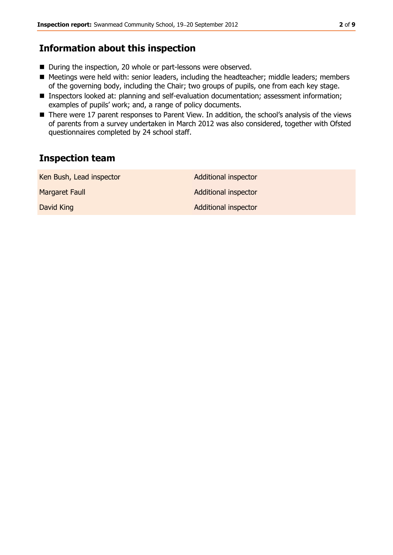## **Information about this inspection**

- During the inspection, 20 whole or part-lessons were observed.
- Meetings were held with: senior leaders, including the headteacher; middle leaders; members of the governing body, including the Chair; two groups of pupils, one from each key stage.
- Inspectors looked at: planning and self-evaluation documentation; assessment information; examples of pupils' work; and, a range of policy documents.
- There were 17 parent responses to Parent View. In addition, the school's analysis of the views of parents from a survey undertaken in March 2012 was also considered, together with Ofsted questionnaires completed by 24 school staff.

# **Inspection team**

| Ken Bush, Lead inspector | <b>Additional inspector</b> |
|--------------------------|-----------------------------|
| Margaret Faull           | <b>Additional inspector</b> |
| David King               | <b>Additional inspector</b> |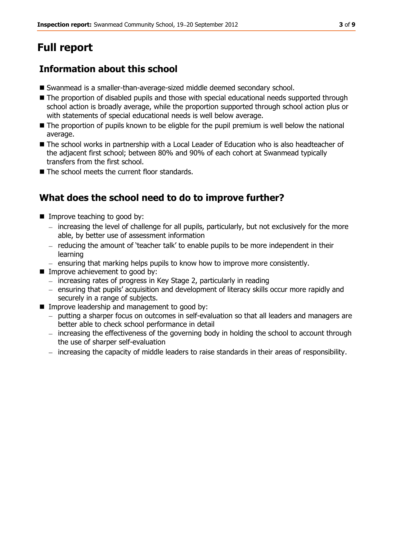# **Full report**

# **Information about this school**

- Swanmead is a smaller-than-average-sized middle deemed secondary school.
- The proportion of disabled pupils and those with special educational needs supported through school action is broadly average, while the proportion supported through school action plus or with statements of special educational needs is well below average.
- The proportion of pupils known to be eligble for the pupil premium is well below the national average.
- The school works in partnership with a Local Leader of Education who is also headteacher of the adjacent first school; between 80% and 90% of each cohort at Swanmead typically transfers from the first school.
- The school meets the current floor standards.

# **What does the school need to do to improve further?**

- Improve teaching to good by:
	- increasing the level of challenge for all pupils, particularly, but not exclusively for the more able, by better use of assessment information
	- $-$  reducing the amount of 'teacher talk' to enable pupils to be more independent in their learning
	- ensuring that marking helps pupils to know how to improve more consistently.
- **IMPROVE achievement to good by:** 
	- $-$  increasing rates of progress in Key Stage 2, particularly in reading
	- ensuring that pupils' acquisition and development of literacy skills occur more rapidly and securely in a range of subjects.
- **IMPROVE LEADERSHIP and management to good by:** 
	- putting a sharper focus on outcomes in self-evaluation so that all leaders and managers are better able to check school performance in detail
	- increasing the effectiveness of the governing body in holding the school to account through the use of sharper self-evaluation
	- increasing the capacity of middle leaders to raise standards in their areas of responsibility.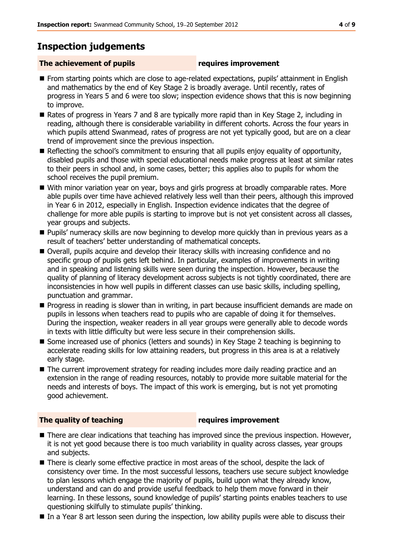# **Inspection judgements**

### **The achievement of pupils requires improvement**

- **From starting points which are close to age-related expectations, pupils' attainment in English** and mathematics by the end of Key Stage 2 is broadly average. Until recently, rates of progress in Years 5 and 6 were too slow; inspection evidence shows that this is now beginning to improve.
- Rates of progress in Years 7 and 8 are typically more rapid than in Key Stage 2, including in reading, although there is considerable variability in different cohorts. Across the four years in which pupils attend Swanmead, rates of progress are not yet typically good, but are on a clear trend of improvement since the previous inspection.
- Reflecting the school's commitment to ensuring that all pupils enjoy equality of opportunity, disabled pupils and those with special educational needs make progress at least at similar rates to their peers in school and, in some cases, better; this applies also to pupils for whom the school receives the pupil premium.
- With minor variation year on year, boys and girls progress at broadly comparable rates. More able pupils over time have achieved relatively less well than their peers, although this improved in Year 6 in 2012, especially in English. Inspection evidence indicates that the degree of challenge for more able pupils is starting to improve but is not yet consistent across all classes, year groups and subjects.
- Pupils' numeracy skills are now beginning to develop more quickly than in previous years as a result of teachers' better understanding of mathematical concepts.
- Overall, pupils acquire and develop their literacy skills with increasing confidence and no specific group of pupils gets left behind. In particular, examples of improvements in writing and in speaking and listening skills were seen during the inspection. However, because the quality of planning of literacy development across subjects is not tightly coordinated, there are inconsistencies in how well pupils in different classes can use basic skills, including spelling, punctuation and grammar.
- **Progress in reading is slower than in writing, in part because insufficient demands are made on** pupils in lessons when teachers read to pupils who are capable of doing it for themselves. During the inspection, weaker readers in all year groups were generally able to decode words in texts with little difficulty but were less secure in their comprehension skills.
- Some increased use of phonics (letters and sounds) in Key Stage 2 teaching is beginning to accelerate reading skills for low attaining readers, but progress in this area is at a relatively early stage.
- The current improvement strategy for reading includes more daily reading practice and an extension in the range of reading resources, notably to provide more suitable material for the needs and interests of boys. The impact of this work is emerging, but is not yet promoting good achievement.

### **The quality of teaching requires improvement**

- There are clear indications that teaching has improved since the previous inspection. However, it is not yet good because there is too much variability in quality across classes, year groups and subjects.
- There is clearly some effective practice in most areas of the school, despite the lack of consistency over time. In the most successful lessons, teachers use secure subject knowledge to plan lessons which engage the majority of pupils, build upon what they already know, understand and can do and provide useful feedback to help them move forward in their learning. In these lessons, sound knowledge of pupils' starting points enables teachers to use questioning skilfully to stimulate pupils' thinking.
- In a Year 8 art lesson seen during the inspection, low ability pupils were able to discuss their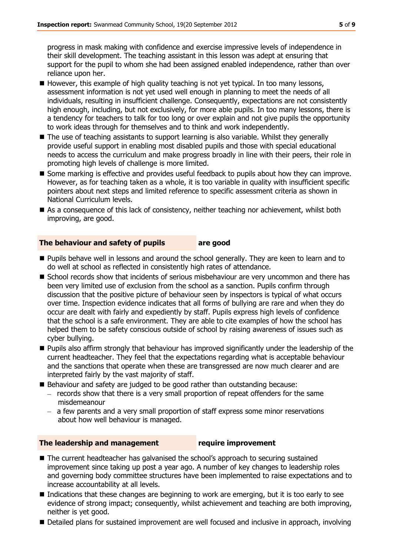progress in mask making with confidence and exercise impressive levels of independence in their skill development. The teaching assistant in this lesson was adept at ensuring that support for the pupil to whom she had been assigned enabled independence, rather than over reliance upon her.

- $\blacksquare$  However, this example of high quality teaching is not yet typical. In too many lessons, assessment information is not yet used well enough in planning to meet the needs of all individuals, resulting in insufficient challenge. Consequently, expectations are not consistently high enough, including, but not exclusively, for more able pupils. In too many lessons, there is a tendency for teachers to talk for too long or over explain and not give pupils the opportunity to work ideas through for themselves and to think and work independently.
- The use of teaching assistants to support learning is also variable. Whilst they generally provide useful support in enabling most disabled pupils and those with special educational needs to access the curriculum and make progress broadly in line with their peers, their role in promoting high levels of challenge is more limited.
- **Some marking is effective and provides useful feedback to pupils about how they can improve.** However, as for teaching taken as a whole, it is too variable in quality with insufficient specific pointers about next steps and limited reference to specific assessment criteria as shown in National Curriculum levels.
- As a consequence of this lack of consistency, neither teaching nor achievement, whilst both improving, are good.

#### **The behaviour and safety of pupils are good**

- **Pupils behave well in lessons and around the school generally. They are keen to learn and to** do well at school as reflected in consistently high rates of attendance.
- **School records show that incidents of serious misbehaviour are very uncommon and there has** been very limited use of exclusion from the school as a sanction. Pupils confirm through discussion that the positive picture of behaviour seen by inspectors is typical of what occurs over time. Inspection evidence indicates that all forms of bullying are rare and when they do occur are dealt with fairly and expediently by staff. Pupils express high levels of confidence that the school is a safe environment. They are able to cite examples of how the school has helped them to be safety conscious outside of school by raising awareness of issues such as cyber bullying.
- **Pupils also affirm strongly that behaviour has improved significantly under the leadership of the** current headteacher. They feel that the expectations regarding what is acceptable behaviour and the sanctions that operate when these are transgressed are now much clearer and are interpreted fairly by the vast majority of staff.
- Behaviour and safety are judged to be good rather than outstanding because:
	- $-$  records show that there is a very small proportion of repeat offenders for the same misdemeanour
	- a few parents and a very small proportion of staff express some minor reservations about how well behaviour is managed.

### **The leadership and management require improvement**

- The current headteacher has galvanised the school's approach to securing sustained improvement since taking up post a year ago. A number of key changes to leadership roles and governing body committee structures have been implemented to raise expectations and to increase accountability at all levels.
- $\blacksquare$  Indications that these changes are beginning to work are emerging, but it is too early to see evidence of strong impact; consequently, whilst achievement and teaching are both improving, neither is yet good.
- Detailed plans for sustained improvement are well focused and inclusive in approach, involving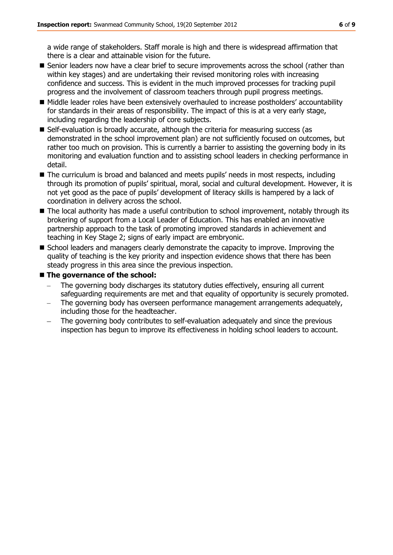a wide range of stakeholders. Staff morale is high and there is widespread affirmation that there is a clear and attainable vision for the future.

- **Senior leaders now have a clear brief to secure improvements across the school (rather than** within key stages) and are undertaking their revised monitoring roles with increasing confidence and success. This is evident in the much improved processes for tracking pupil progress and the involvement of classroom teachers through pupil progress meetings.
- $\blacksquare$  Middle leader roles have been extensively overhauled to increase postholders' accountability for standards in their areas of responsibility. The impact of this is at a very early stage, including regarding the leadership of core subjects.
- Self-evaluation is broadly accurate, although the criteria for measuring success (as demonstrated in the school improvement plan) are not sufficiently focused on outcomes, but rather too much on provision. This is currently a barrier to assisting the governing body in its monitoring and evaluation function and to assisting school leaders in checking performance in detail.
- The curriculum is broad and balanced and meets pupils' needs in most respects, including through its promotion of pupils' spiritual, moral, social and cultural development. However, it is not yet good as the pace of pupils' development of literacy skills is hampered by a lack of coordination in delivery across the school.
- The local authority has made a useful contribution to school improvement, notably through its brokering of support from a Local Leader of Education. This has enabled an innovative partnership approach to the task of promoting improved standards in achievement and teaching in Key Stage 2; signs of early impact are embryonic.
- **School leaders and managers clearly demonstrate the capacity to improve. Improving the** quality of teaching is the key priority and inspection evidence shows that there has been steady progress in this area since the previous inspection.

#### **The governance of the school:**

- The governing body discharges its statutory duties effectively, ensuring all current safeguarding requirements are met and that equality of opportunity is securely promoted.
- The governing body has overseen performance management arrangements adequately, including those for the headteacher.
- The governing body contributes to self-evaluation adequately and since the previous inspection has begun to improve its effectiveness in holding school leaders to account.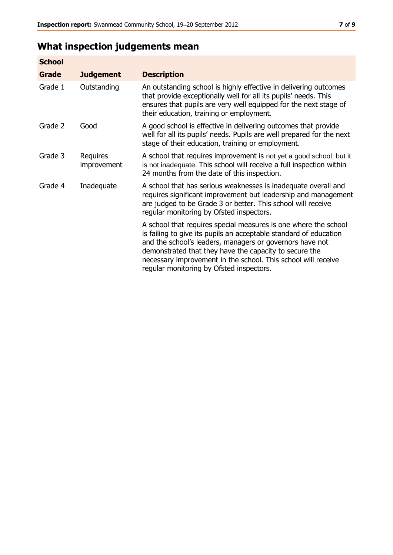# **What inspection judgements mean**

| <b>School</b> |                         |                                                                                                                                                                                                                                                                                                                                                                         |
|---------------|-------------------------|-------------------------------------------------------------------------------------------------------------------------------------------------------------------------------------------------------------------------------------------------------------------------------------------------------------------------------------------------------------------------|
| Grade         | <b>Judgement</b>        | <b>Description</b>                                                                                                                                                                                                                                                                                                                                                      |
| Grade 1       | Outstanding             | An outstanding school is highly effective in delivering outcomes<br>that provide exceptionally well for all its pupils' needs. This<br>ensures that pupils are very well equipped for the next stage of<br>their education, training or employment.                                                                                                                     |
| Grade 2       | Good                    | A good school is effective in delivering outcomes that provide<br>well for all its pupils' needs. Pupils are well prepared for the next<br>stage of their education, training or employment.                                                                                                                                                                            |
| Grade 3       | Requires<br>improvement | A school that requires improvement is not yet a good school, but it<br>is not inadequate. This school will receive a full inspection within<br>24 months from the date of this inspection.                                                                                                                                                                              |
| Grade 4       | Inadequate              | A school that has serious weaknesses is inadequate overall and<br>requires significant improvement but leadership and management<br>are judged to be Grade 3 or better. This school will receive<br>regular monitoring by Ofsted inspectors.                                                                                                                            |
|               |                         | A school that requires special measures is one where the school<br>is failing to give its pupils an acceptable standard of education<br>and the school's leaders, managers or governors have not<br>demonstrated that they have the capacity to secure the<br>necessary improvement in the school. This school will receive<br>regular monitoring by Ofsted inspectors. |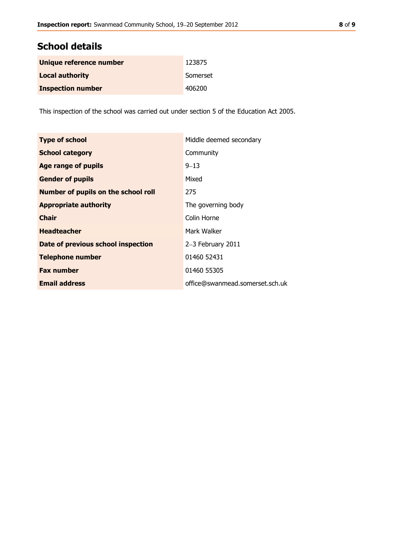# **School details**

| Unique reference number  | 123875   |
|--------------------------|----------|
| <b>Local authority</b>   | Somerset |
| <b>Inspection number</b> | 406200   |

This inspection of the school was carried out under section 5 of the Education Act 2005.

| <b>Type of school</b>                      | Middle deemed secondary         |
|--------------------------------------------|---------------------------------|
| <b>School category</b>                     | Community                       |
| Age range of pupils                        | $9 - 13$                        |
| <b>Gender of pupils</b>                    | Mixed                           |
| <b>Number of pupils on the school roll</b> | 275                             |
| <b>Appropriate authority</b>               | The governing body              |
| <b>Chair</b>                               | Colin Horne                     |
| <b>Headteacher</b>                         | Mark Walker                     |
| Date of previous school inspection         | 2-3 February 2011               |
| <b>Telephone number</b>                    | 01460 52431                     |
| <b>Fax number</b>                          | 01460 55305                     |
| <b>Email address</b>                       | office@swanmead.somerset.sch.uk |